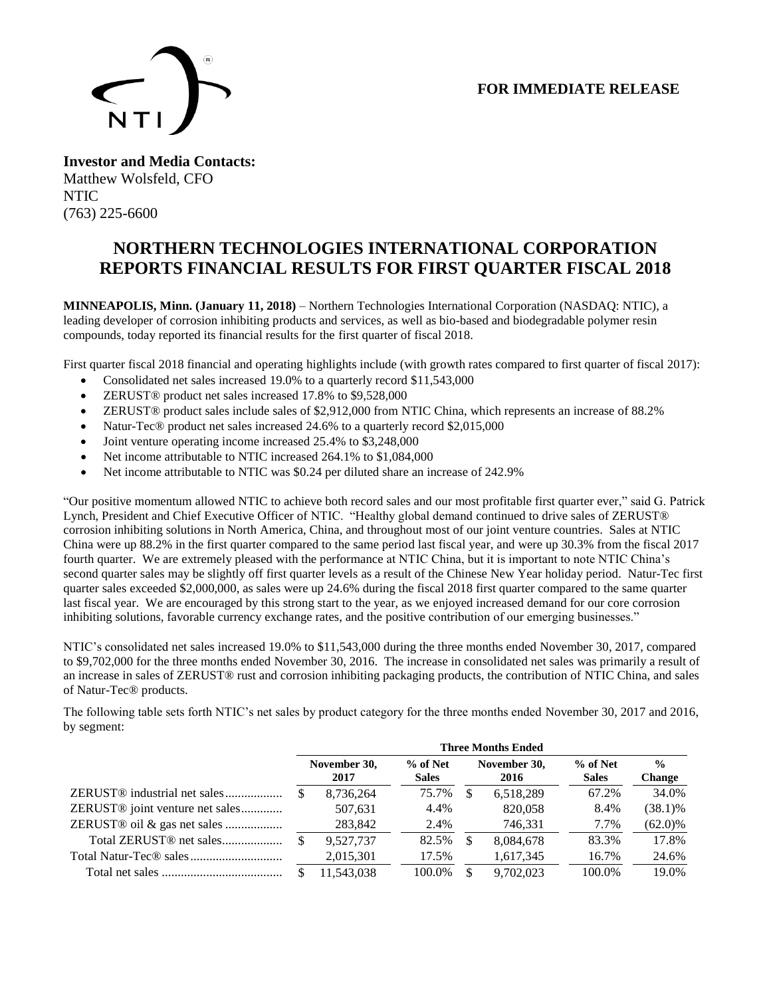## **FOR IMMEDIATE RELEASE**



**Investor and Media Contacts:** Matthew Wolsfeld, CFO NTIC (763) 225-6600

# **NORTHERN TECHNOLOGIES INTERNATIONAL CORPORATION REPORTS FINANCIAL RESULTS FOR FIRST QUARTER FISCAL 2018**

**MINNEAPOLIS, Minn. (January 11, 2018)** – Northern Technologies International Corporation (NASDAQ: NTIC), a leading developer of corrosion inhibiting products and services, as well as bio-based and biodegradable polymer resin compounds, today reported its financial results for the first quarter of fiscal 2018.

First quarter fiscal 2018 financial and operating highlights include (with growth rates compared to first quarter of fiscal 2017):

- Consolidated net sales increased 19.0% to a quarterly record \$11,543,000
- ZERUST® product net sales increased 17.8% to \$9,528,000
- ZERUST® product sales include sales of \$2,912,000 from NTIC China, which represents an increase of 88.2%
- Natur-Tec® product net sales increased 24.6% to a quarterly record \$2,015,000
- Joint venture operating income increased 25.4% to \$3,248,000
- Net income attributable to NTIC increased 264.1% to \$1,084,000
- Net income attributable to NTIC was \$0.24 per diluted share an increase of 242.9%

"Our positive momentum allowed NTIC to achieve both record sales and our most profitable first quarter ever," said G. Patrick Lynch, President and Chief Executive Officer of NTIC. "Healthy global demand continued to drive sales of ZERUST® corrosion inhibiting solutions in North America, China, and throughout most of our joint venture countries. Sales at NTIC China were up 88.2% in the first quarter compared to the same period last fiscal year, and were up 30.3% from the fiscal 2017 fourth quarter. We are extremely pleased with the performance at NTIC China, but it is important to note NTIC China's second quarter sales may be slightly off first quarter levels as a result of the Chinese New Year holiday period. Natur-Tec first quarter sales exceeded \$2,000,000, as sales were up 24.6% during the fiscal 2018 first quarter compared to the same quarter last fiscal year. We are encouraged by this strong start to the year, as we enjoyed increased demand for our core corrosion inhibiting solutions, favorable currency exchange rates, and the positive contribution of our emerging businesses."

NTIC's consolidated net sales increased 19.0% to \$11,543,000 during the three months ended November 30, 2017, compared to \$9,702,000 for the three months ended November 30, 2016. The increase in consolidated net sales was primarily a result of an increase in sales of ZERUST® rust and corrosion inhibiting packaging products, the contribution of NTIC China, and sales of Natur-Tec® products.

The following table sets forth NTIC's net sales by product category for the three months ended November 30, 2017 and 2016, by segment:

|                                             | <b>Three Months Ended</b> |                      |                          |   |                      |                          |                                |
|---------------------------------------------|---------------------------|----------------------|--------------------------|---|----------------------|--------------------------|--------------------------------|
|                                             |                           | November 30,<br>2017 | % of Net<br><b>Sales</b> |   | November 30,<br>2016 | % of Net<br><b>Sales</b> | $\frac{0}{0}$<br><b>Change</b> |
| ZERUST <sup>®</sup> industrial net sales    |                           | 8,736,264            | 75.7%                    |   | 6,518,289            | 67.2%                    | 34.0%                          |
| ZERUST <sup>®</sup> joint venture net sales |                           | 507,631              | 4.4%                     |   | 820,058              | 8.4%                     | $(38.1)\%$                     |
|                                             |                           | 283,842              | 2.4%                     |   | 746,331              | 7.7%                     | $(62.0)\%$                     |
|                                             |                           | 9.527.737            | 82.5%                    | S | 8,084,678            | 83.3%                    | 17.8%                          |
|                                             |                           | 2,015,301            | 17.5%                    |   | 1,617,345            | 16.7%                    | 24.6%                          |
|                                             |                           | 11.543.038           | 100.0%                   |   | 9.702.023            | 100.0%                   | 19.0%                          |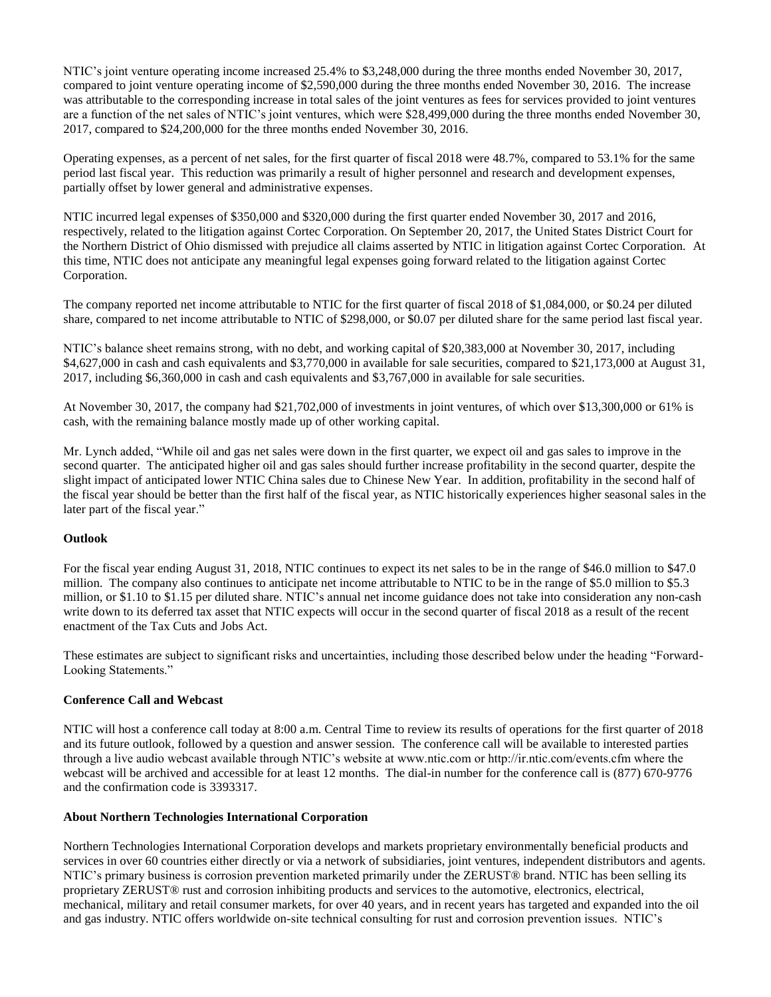NTIC's joint venture operating income increased 25.4% to \$3,248,000 during the three months ended November 30, 2017, compared to joint venture operating income of \$2,590,000 during the three months ended November 30, 2016. The increase was attributable to the corresponding increase in total sales of the joint ventures as fees for services provided to joint ventures are a function of the net sales of NTIC's joint ventures, which were \$28,499,000 during the three months ended November 30, 2017, compared to \$24,200,000 for the three months ended November 30, 2016.

Operating expenses, as a percent of net sales, for the first quarter of fiscal 2018 were 48.7%, compared to 53.1% for the same period last fiscal year. This reduction was primarily a result of higher personnel and research and development expenses, partially offset by lower general and administrative expenses.

NTIC incurred legal expenses of \$350,000 and \$320,000 during the first quarter ended November 30, 2017 and 2016, respectively, related to the litigation against Cortec Corporation. On September 20, 2017, the United States District Court for the Northern District of Ohio dismissed with prejudice all claims asserted by NTIC in litigation against Cortec Corporation. At this time, NTIC does not anticipate any meaningful legal expenses going forward related to the litigation against Cortec Corporation.

The company reported net income attributable to NTIC for the first quarter of fiscal 2018 of \$1,084,000, or \$0.24 per diluted share, compared to net income attributable to NTIC of \$298,000, or \$0.07 per diluted share for the same period last fiscal year.

NTIC's balance sheet remains strong, with no debt, and working capital of \$20,383,000 at November 30, 2017, including \$4,627,000 in cash and cash equivalents and \$3,770,000 in available for sale securities, compared to \$21,173,000 at August 31, 2017, including \$6,360,000 in cash and cash equivalents and \$3,767,000 in available for sale securities.

At November 30, 2017, the company had \$21,702,000 of investments in joint ventures, of which over \$13,300,000 or 61% is cash, with the remaining balance mostly made up of other working capital.

Mr. Lynch added, "While oil and gas net sales were down in the first quarter, we expect oil and gas sales to improve in the second quarter. The anticipated higher oil and gas sales should further increase profitability in the second quarter, despite the slight impact of anticipated lower NTIC China sales due to Chinese New Year. In addition, profitability in the second half of the fiscal year should be better than the first half of the fiscal year, as NTIC historically experiences higher seasonal sales in the later part of the fiscal year."

#### **Outlook**

For the fiscal year ending August 31, 2018, NTIC continues to expect its net sales to be in the range of \$46.0 million to \$47.0 million. The company also continues to anticipate net income attributable to NTIC to be in the range of \$5.0 million to \$5.3 million, or \$1.10 to \$1.15 per diluted share. NTIC's annual net income guidance does not take into consideration any non-cash write down to its deferred tax asset that NTIC expects will occur in the second quarter of fiscal 2018 as a result of the recent enactment of the Tax Cuts and Jobs Act.

These estimates are subject to significant risks and uncertainties, including those described below under the heading "Forward-Looking Statements."

#### **Conference Call and Webcast**

NTIC will host a conference call today at 8:00 a.m. Central Time to review its results of operations for the first quarter of 2018 and its future outlook, followed by a question and answer session. The conference call will be available to interested parties through a live audio webcast available through NTIC's website at www.ntic.com or http://ir.ntic.com/events.cfm where the webcast will be archived and accessible for at least 12 months. The dial-in number for the conference call is (877) 670-9776 and the confirmation code is 3393317.

#### **About Northern Technologies International Corporation**

Northern Technologies International Corporation develops and markets proprietary environmentally beneficial products and services in over 60 countries either directly or via a network of subsidiaries, joint ventures, independent distributors and agents. NTIC's primary business is corrosion prevention marketed primarily under the ZERUST® brand. NTIC has been selling its proprietary ZERUST® rust and corrosion inhibiting products and services to the automotive, electronics, electrical, mechanical, military and retail consumer markets, for over 40 years, and in recent years has targeted and expanded into the oil and gas industry. NTIC offers worldwide on-site technical consulting for rust and corrosion prevention issues. NTIC's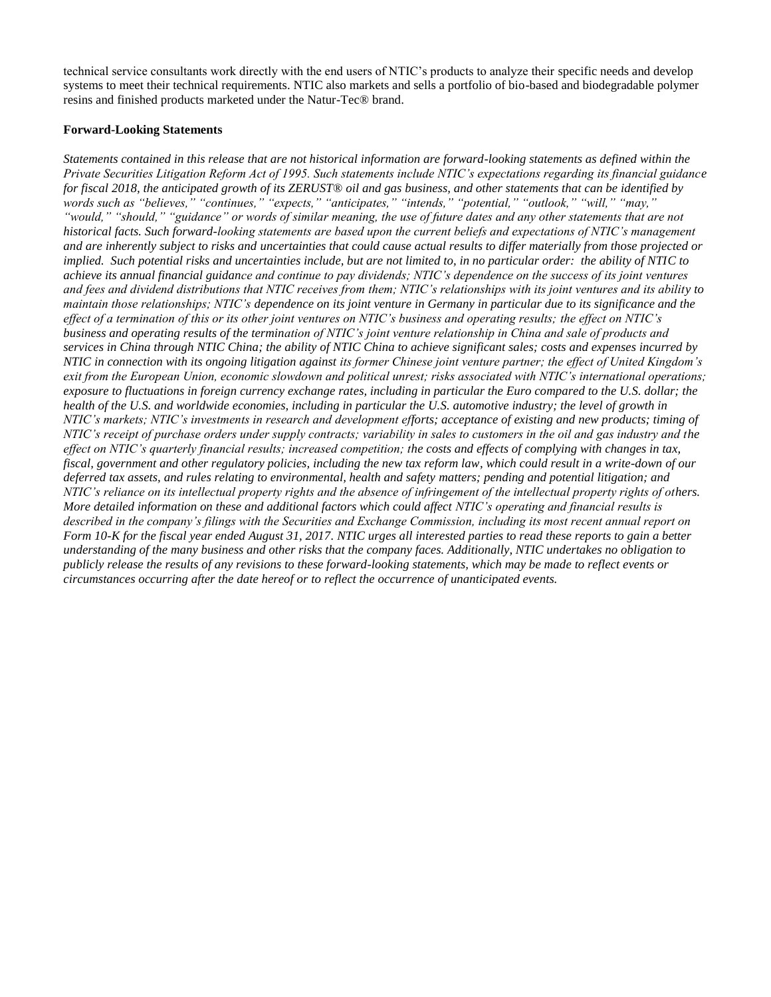technical service consultants work directly with the end users of NTIC's products to analyze their specific needs and develop systems to meet their technical requirements. NTIC also markets and sells a portfolio of bio-based and biodegradable polymer resins and finished products marketed under the Natur-Tec® brand.

#### **Forward-Looking Statements**

*Statements contained in this release that are not historical information are forward-looking statements as defined within the Private Securities Litigation Reform Act of 1995. Such statements include NTIC's expectations regarding its financial guidance for fiscal 2018, the anticipated growth of its ZERUST*® *oil and gas business, and other statements that can be identified by words such as "believes," "continues," "expects," "anticipates," "intends," "potential," "outlook," "will," "may," "would," "should," "guidance" or words of similar meaning, the use of future dates and any other statements that are not historical facts. Such forward-looking statements are based upon the current beliefs and expectations of NTIC's management and are inherently subject to risks and uncertainties that could cause actual results to differ materially from those projected or implied. Such potential risks and uncertainties include, but are not limited to, in no particular order: the ability of NTIC to achieve its annual financial guidance and continue to pay dividends; NTIC's dependence on the success of its joint ventures and fees and dividend distributions that NTIC receives from them; NTIC's relationships with its joint ventures and its ability to maintain those relationships; NTIC's dependence on its joint venture in Germany in particular due to its significance and the effect of a termination of this or its other joint ventures on NTIC's business and operating results; the effect on NTIC's business and operating results of the termination of NTIC's joint venture relationship in China and sale of products and services in China through NTIC China; the ability of NTIC China to achieve significant sales; costs and expenses incurred by NTIC in connection with its ongoing litigation against its former Chinese joint venture partner; the effect of United Kingdom's exit from the European Union, economic slowdown and political unrest; risks associated with NTIC's international operations; exposure to fluctuations in foreign currency exchange rates, including in particular the Euro compared to the U.S. dollar; the health of the U.S. and worldwide economies, including in particular the U.S. automotive industry; the level of growth in NTIC's markets; NTIC's investments in research and development efforts; acceptance of existing and new products; timing of NTIC's receipt of purchase orders under supply contracts; variability in sales to customers in the oil and gas industry and the effect on NTIC's quarterly financial results; increased competition; the costs and effects of complying with changes in tax, fiscal, government and other regulatory policies, including the new tax reform law, which could result in a write-down of our deferred tax assets, and rules relating to environmental, health and safety matters; pending and potential litigation; and NTIC's reliance on its intellectual property rights and the absence of infringement of the intellectual property rights of others. More detailed information on these and additional factors which could affect NTIC's operating and financial results is described in the company's filings with the Securities and Exchange Commission, including its most recent annual report on Form 10-K for the fiscal year ended August 31, 2017. NTIC urges all interested parties to read these reports to gain a better understanding of the many business and other risks that the company faces. Additionally, NTIC undertakes no obligation to publicly release the results of any revisions to these forward-looking statements, which may be made to reflect events or circumstances occurring after the date hereof or to reflect the occurrence of unanticipated events.*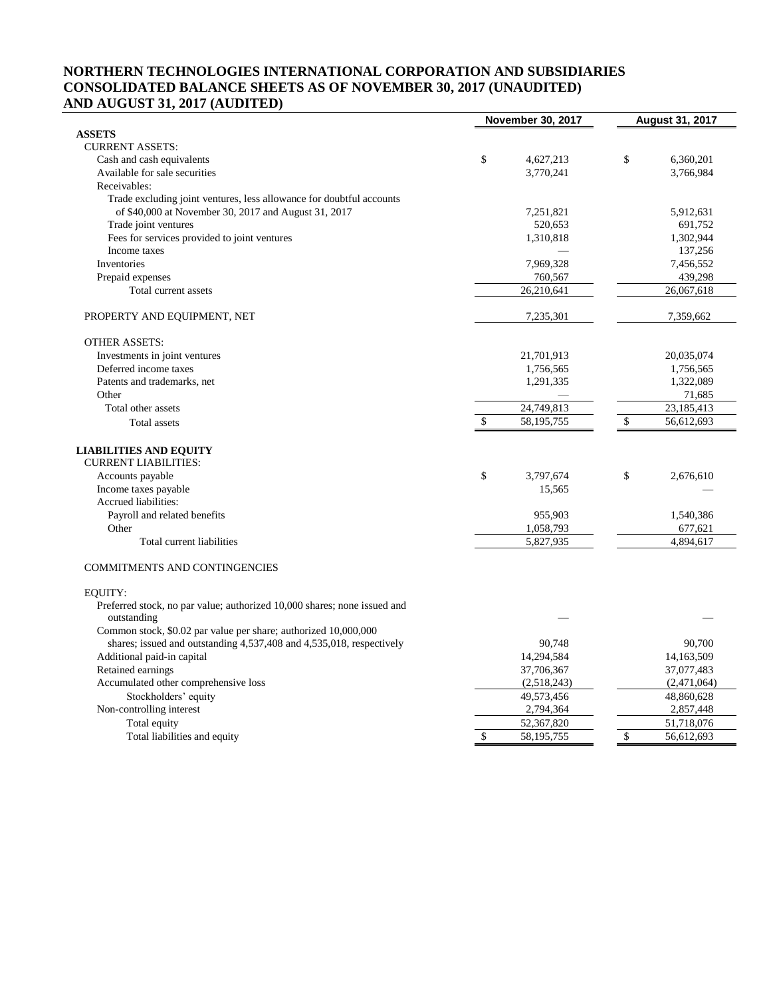## **NORTHERN TECHNOLOGIES INTERNATIONAL CORPORATION AND SUBSIDIARIES CONSOLIDATED BALANCE SHEETS AS OF NOVEMBER 30, 2017 (UNAUDITED) AND AUGUST 31, 2017 (AUDITED)**

|                                                                          | <b>November 30, 2017</b> | <b>August 31, 2017</b> |
|--------------------------------------------------------------------------|--------------------------|------------------------|
| <b>ASSETS</b>                                                            |                          |                        |
| <b>CURRENT ASSETS:</b>                                                   |                          |                        |
| Cash and cash equivalents                                                | \$<br>4,627,213          | \$<br>6,360,201        |
| Available for sale securities                                            | 3,770,241                | 3,766,984              |
| Receivables:                                                             |                          |                        |
| Trade excluding joint ventures, less allowance for doubtful accounts     |                          |                        |
| of \$40,000 at November 30, 2017 and August 31, 2017                     | 7,251,821                | 5,912,631              |
| Trade joint ventures                                                     | 520,653                  | 691,752                |
| Fees for services provided to joint ventures                             | 1,310,818                | 1,302,944              |
| Income taxes                                                             |                          | 137,256                |
| Inventories                                                              | 7,969,328                | 7,456,552              |
| Prepaid expenses                                                         | 760,567                  | 439,298                |
| Total current assets                                                     | 26,210,641               | 26,067,618             |
| PROPERTY AND EQUIPMENT, NET                                              | 7,235,301                | 7,359,662              |
| <b>OTHER ASSETS:</b>                                                     |                          |                        |
| Investments in joint ventures                                            | 21,701,913               | 20,035,074             |
| Deferred income taxes                                                    | 1,756,565                | 1,756,565              |
| Patents and trademarks, net                                              | 1,291,335                | 1,322,089              |
| Other                                                                    |                          | 71,685                 |
| Total other assets                                                       | 24,749,813               | 23,185,413             |
| Total assets                                                             | \$<br>58,195,755         | \$<br>56,612,693       |
|                                                                          |                          |                        |
| <b>LIABILITIES AND EQUITY</b>                                            |                          |                        |
| <b>CURRENT LIABILITIES:</b>                                              |                          |                        |
| Accounts payable                                                         | \$<br>3,797,674          | \$<br>2,676,610        |
| Income taxes payable                                                     | 15,565                   |                        |
| Accrued liabilities:                                                     |                          |                        |
| Payroll and related benefits                                             | 955,903                  | 1,540,386              |
| Other                                                                    | 1,058,793                | 677,621                |
| Total current liabilities                                                | 5,827,935                | 4,894,617              |
|                                                                          |                          |                        |
| <b>COMMITMENTS AND CONTINGENCIES</b>                                     |                          |                        |
| <b>EOUITY:</b>                                                           |                          |                        |
| Preferred stock, no par value; authorized 10,000 shares; none issued and |                          |                        |
| outstanding                                                              |                          |                        |
| Common stock, \$0.02 par value per share; authorized 10,000,000          |                          |                        |
| shares; issued and outstanding 4,537,408 and 4,535,018, respectively     | 90,748                   | 90,700                 |
| Additional paid-in capital                                               | 14,294,584               | 14,163,509             |
| Retained earnings                                                        | 37,706,367               | 37,077,483             |
| Accumulated other comprehensive loss                                     | (2,518,243)              | (2,471,064)            |
| Stockholders' equity                                                     | 49,573,456               | 48,860,628             |
| Non-controlling interest                                                 | 2,794,364                | 2,857,448              |
| Total equity                                                             | 52,367,820               | 51,718,076             |
| Total liabilities and equity                                             | \$<br>58, 195, 755       | \$<br>56,612,693       |